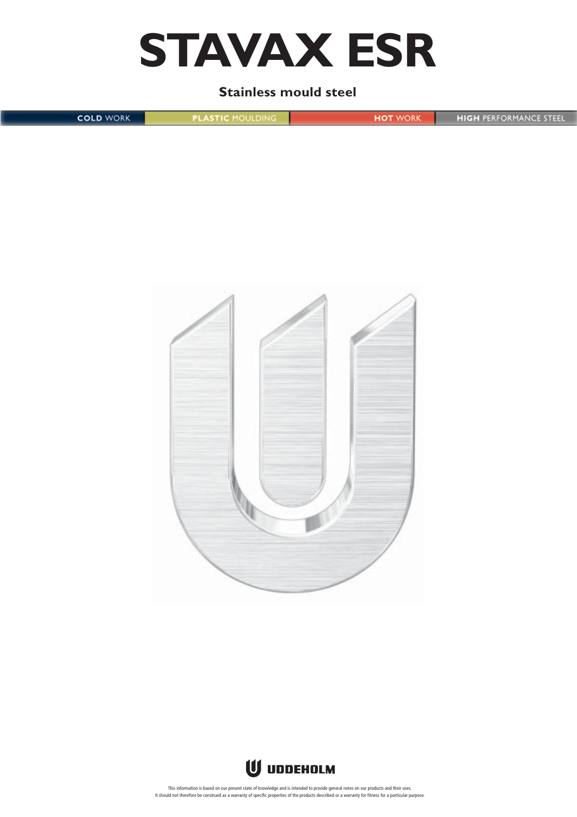

## **Stainless mould steel**

**COLD WORK PLASTIC MOULDING HOT WORK HIGH PERFORMANCE STEEL** 





This information is based on our present state of knowledge and is intended to provide general notes on our products and their uses.<br>It should not therefore be construed as a warranty of specific properties of the products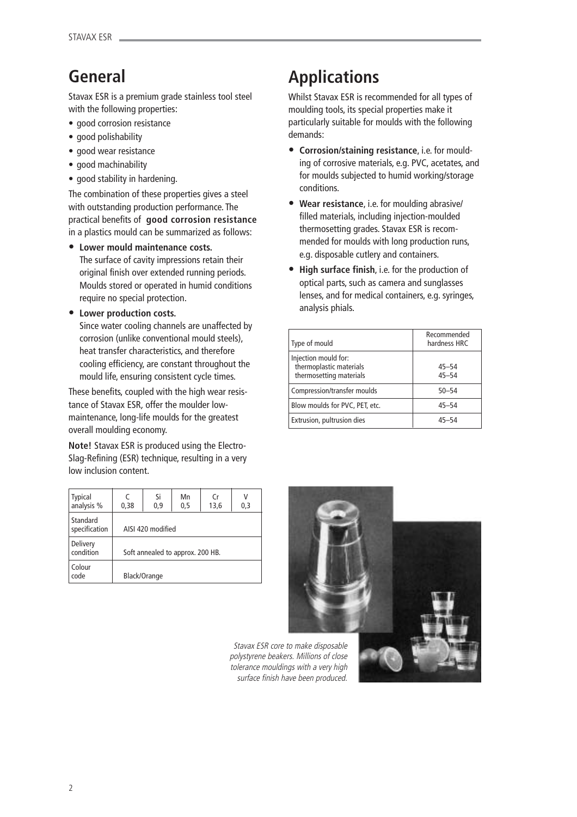## **General**

Stavax ESR is a premium grade stainless tool steel with the following properties:

- good corrosion resistance
- good polishability
- good wear resistance
- good machinability
- good stability in hardening.

The combination of these properties gives a steel with outstanding production performance. The practical benefits of **good corrosion resistance** in a plastics mould can be summarized as follows:

**• Lower mould maintenance costs.**

The surface of cavity impressions retain their original finish over extended running periods. Moulds stored or operated in humid conditions require no special protection.

**• Lower production costs.**

Since water cooling channels are unaffected by corrosion (unlike conventional mould steels), heat transfer characteristics, and therefore cooling efficiency, are constant throughout the mould life, ensuring consistent cycle times.

These benefits, coupled with the high wear resistance of Stavax ESR, offer the moulder lowmaintenance, long-life moulds for the greatest overall moulding economy.

**Note!** Stavax ESR is produced using the Electro-Slag-Refining (ESR) technique, resulting in a very low inclusion content.

| <b>Typical</b><br>analysis % | 0,38                             | Si<br>0,9    | Mn<br>0,5 | (r<br>13,6 | 0,3 |
|------------------------------|----------------------------------|--------------|-----------|------------|-----|
| Standard<br>specification    | AISI 420 modified                |              |           |            |     |
| Delivery<br>condition        | Soft annealed to approx. 200 HB. |              |           |            |     |
| Colour<br>code               |                                  | Black/Orange |           |            |     |

# **Applications**

Whilst Stavax ESR is recommended for all types of moulding tools, its special properties make it particularly suitable for moulds with the following demands:

- **• Corrosion/staining resistance**, i.e. for moulding of corrosive materials, e.g. PVC, acetates, and for moulds subjected to humid working/storage conditions.
- **• Wear resistance**, i.e. for moulding abrasive/ filled materials, including injection-moulded thermosetting grades. Stavax ESR is recommended for moulds with long production runs, e.g. disposable cutlery and containers.
- **High surface finish**, i.e. for the production of optical parts, such as camera and sunglasses lenses, and for medical containers, e.g. syringes, analysis phials.

| Type of mould                                                              | Recommended<br>hardness HRC |
|----------------------------------------------------------------------------|-----------------------------|
| Injection mould for:<br>thermoplastic materials<br>thermosetting materials | $45 - 54$<br>$45 - 54$      |
| Compression/transfer moulds                                                | $50 - 54$                   |
| Blow moulds for PVC, PET, etc.                                             | $45 - 54$                   |
| Extrusion, pultrusion dies                                                 | 45-54                       |



Stavax ESR core to make disposable polystyrene beakers. Millions of close tolerance mouldings with a very high surface finish have been produced.

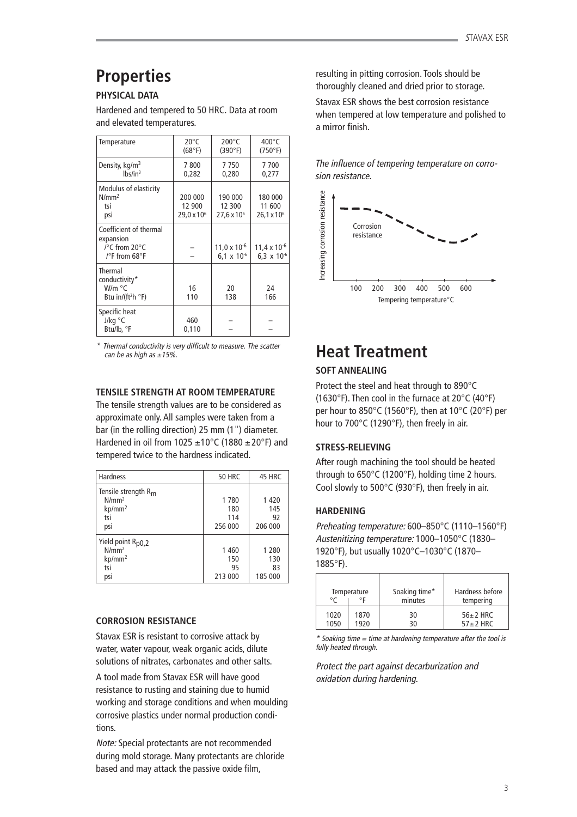## **Properties**

## **PHYSICAL DATA**

Hardened and tempered to 50 HRC. Data at room and elevated temperatures.

| Temperature                                                                               | $20^{\circ}$ C<br>(68°F)                    | $200^{\circ}$ C<br>(390°F)                | $400^{\circ}$ C<br>(750°F)                       |
|-------------------------------------------------------------------------------------------|---------------------------------------------|-------------------------------------------|--------------------------------------------------|
| Density, kg/m <sup>3</sup><br>lbs/in <sup>3</sup>                                         | 7800<br>0,282                               | 7750<br>0,280                             | 7700<br>0,277                                    |
| Modulus of elasticity<br>N/mm <sup>2</sup><br>tsi<br>psi                                  | 200 000<br>12 900<br>29,0 x 10 <sup>6</sup> | 190 000<br>12 300<br>$27.6 \times 10^{6}$ | 180 000<br>11 600<br>$26,1 \times 10^6$          |
| Coefficient of thermal<br>expansion<br>$\sqrt{\ }$ C from 20 $\degree$ C<br>/°F from 68°F |                                             | $11,0 \times 10^{-6}$<br>6,1 x $10^{-6}$  | $11,4 \times 10^{-6}$<br>6,3 $\times$ 10 $^{-6}$ |
| Thermal<br>conductivity*<br>W/m °C<br>Btu in/(ft <sup>2</sup> h $\degree$ F)              | 16<br>110                                   | 20<br>138                                 | 24<br>166                                        |
| Specific heat<br>J/kg °C<br>Btu/lb, °F                                                    | 460<br>0,110                                |                                           |                                                  |

\* Thermal conductivity is very difficult to measure. The scatter can be as high as  $\pm 15\%$ .

## **TENSILE STRENGTH AT ROOM TEMPERATURE**

The tensile strength values are to be considered as approximate only. All samples were taken from a bar (in the rolling direction) 25 mm (1") diameter. Hardened in oil from 1025  $\pm$ 10°C (1880  $\pm$  20°F) and tempered twice to the hardness indicated.

| <b>Hardness</b>                                                                   | <b>50 HRC</b>                   | 45 HRC                          |
|-----------------------------------------------------------------------------------|---------------------------------|---------------------------------|
| Tensile strength $R_{m}$<br>N/mm <sup>2</sup><br>kp/mm <sup>2</sup><br>tsi<br>psi | 1780<br>180<br>114<br>256 000   | 1420<br>145<br>92<br>206 000    |
| Yield point R <sub>p0,2</sub><br>N/mm <sup>2</sup><br>$kp/mm^2$<br>tsi<br>psi     | 1 4 6 0<br>150<br>95<br>213 000 | 1 2 8 0<br>130<br>83<br>185 000 |

## **CORROSION RESISTANCE**

Stavax ESR is resistant to corrosive attack by water, water vapour, weak organic acids, dilute solutions of nitrates, carbonates and other salts.

A tool made from Stavax ESR will have good resistance to rusting and staining due to humid working and storage conditions and when moulding corrosive plastics under normal production conditions.

Note: Special protectants are not recommended during mold storage. Many protectants are chloride based and may attack the passive oxide film,

resulting in pitting corrosion. Tools should be thoroughly cleaned and dried prior to storage.

Stavax ESR shows the best corrosion resistance when tempered at low temperature and polished to a mirror finish.

The influence of tempering temperature on corrosion resistance.



## **Heat Treatment**

## **SOFT ANNEALING**

Protect the steel and heat through to 890°C (1630°F). Then cool in the furnace at 20°C (40°F) per hour to 850°C (1560°F), then at 10°C (20°F) per hour to 700°C (1290°F), then freely in air.

## **STRESS-RELIEVING**

After rough machining the tool should be heated through to 650°C (1200°F), holding time 2 hours. Cool slowly to 500°C (930°F), then freely in air.

## **HARDENING**

Preheating temperature: 600–850°C (1110–1560°F) Austenitizing temperature: 1000–1050°C (1830– 1920°F), but usually 1020°C–1030°C (1870– 1885°F).

| $\circ$ | Temperature | Soaking time*<br>minutes | Hardness before<br>tempering |
|---------|-------------|--------------------------|------------------------------|
| 1020    | 1870        | 30                       | $56 \pm 2$ HRC               |
| 1050    | 1920        |                          | $57 \pm 2$ HRC               |

\* Soaking time = time at hardening temperature after the tool is fully heated through.

Protect the part against decarburization and oxidation during hardening.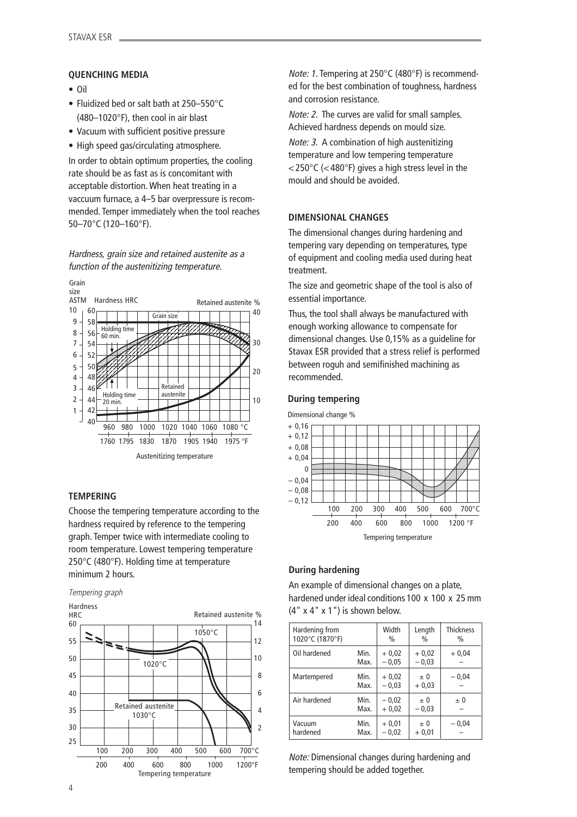### **QUENCHING MEDIA**

- Oil
- Fluidized bed or salt bath at 250–550°C (480–1020°F), then cool in air blast
- Vacuum with sufficient positive pressure
- High speed gas/circulating atmosphere.

In order to obtain optimum properties, the cooling rate should be as fast as is concomitant with acceptable distortion. When heat treating in a vaccuum furnace, a 4–5 bar overpressure is recommended. Temper immediately when the tool reaches 50–70°C (120–160°F).

Hardness, grain size and retained austenite as a function of the austenitizing temperature.



### **TEMPERING**

Choose the tempering temperature according to the hardness required by reference to the tempering graph. Temper twice with intermediate cooling to room temperature. Lowest tempering temperature 250°C (480°F). Holding time at temperature minimum 2 hours.





Note: 1. Tempering at 250°C (480°F) is recommended for the best combination of toughness, hardness and corrosion resistance.

Note: 2. The curves are valid for small samples. Achieved hardness depends on mould size.

Note: 3. A combination of high austenitizing temperature and low tempering temperature  $<$ 250°C ( $<$ 480°F) gives a high stress level in the mould and should be avoided.

### **DIMENSIONAL CHANGES**

The dimensional changes during hardening and tempering vary depending on temperatures, type of equipment and cooling media used during heat treatment.

The size and geometric shape of the tool is also of essential importance.

Thus, the tool shall always be manufactured with enough working allowance to compensate for dimensional changes. Use 0,15% as a guideline for Stavax ESR provided that a stress relief is performed between roguh and semifinished machining as recommended.

### **During tempering**



## **During hardening**

An example of dimensional changes on a plate, hardened under ideal conditions 100 x 100 x 25 mm  $(4" x 4" x 1")$  is shown below.

| Hardening from<br>1020°C (1870°F) |              | Width<br>$\frac{0}{0}$ | Length<br>$\frac{0}{0}$ | <b>Thickness</b><br>$\frac{0}{0}$ |
|-----------------------------------|--------------|------------------------|-------------------------|-----------------------------------|
| Oil hardened                      | Min.<br>Max. | $+0.02$<br>$-0.05$     | $+0.02$<br>$-0,03$      | $+0.04$                           |
| Martempered                       | Min.<br>Max. | $+0.02$<br>$-0.03$     | $\pm 0$<br>$+0.03$      | $-0,04$                           |
| Air hardened                      | Min.<br>Max. | $-0.02$<br>$+0.02$     | $\pm 0$<br>$-0,03$      | $\pm 0$                           |
| Vacuum<br>hardened                | Min.<br>Max. | $+0,01$<br>$-0.02$     | $\pm 0$<br>$+0,01$      | $-0,04$                           |

Note: Dimensional changes during hardening and tempering should be added together.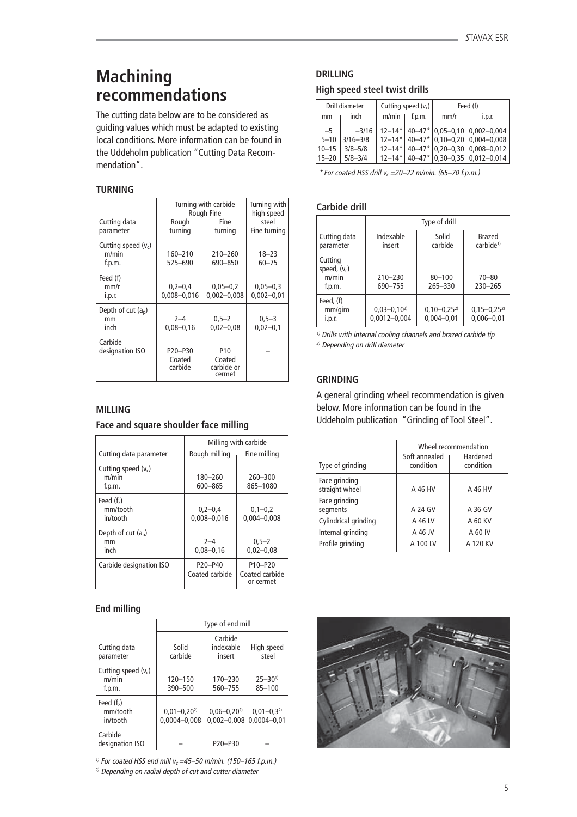## **Machining recommendations**

The cutting data below are to be considered as guiding values which must be adapted to existing local conditions. More information can be found in the Uddeholm publication "Cutting Data Recommendation".

## **TURNING**

| Cutting data<br>parameter                    | Turning with carbide<br>Rough Fine<br>Rough<br>Fine<br>turning<br>turning |                                       | Turning with<br>high speed<br>steel<br>Fine turning |
|----------------------------------------------|---------------------------------------------------------------------------|---------------------------------------|-----------------------------------------------------|
| Cutting speed $(v_c)$<br>m/min<br>f.p.m.     | 160-210<br>525-690                                                        | $210 - 260$<br>690-850                | $18 - 23$<br>$60 - 75$                              |
| Feed (f)<br>mm/r<br>i.p.r.                   | $0,2-0,4$<br>$0,008 - 0,016$                                              | $0,05 - 0,2$<br>$0,002 - 0,008$       | $0,05 - 0,3$<br>$0,002 - 0,01$                      |
| Depth of cut (a <sub>p</sub> )<br>mm<br>inch | $2 - 4$<br>$0.08 - 0.16$                                                  | $0,5 - 2$<br>$0.02 - 0.08$            | $0,5-3$<br>$0,02 - 0,1$                             |
| Carbide<br>designation ISO                   | P <sub>20</sub> -P <sub>30</sub><br>Coated<br>carbide                     | P10<br>Coated<br>carbide or<br>cermet |                                                     |

## **MILLING**

## **Face and square shoulder face milling**

|                                          | Milling with carbide         |                                                                 |  |
|------------------------------------------|------------------------------|-----------------------------------------------------------------|--|
| Cutting data parameter                   | Rough milling                | Fine milling                                                    |  |
| Cutting speed $(v_c)$<br>m/min<br>f.p.m. | 180-260<br>600-865           | 260-300<br>865-1080                                             |  |
| Feed $(f2)$<br>mm/tooth<br>in/tooth      | $0,2-0,4$<br>$0.008 - 0.016$ | $0,1-0,2$<br>$0,004 - 0,008$                                    |  |
| Depth of cut $(a_n)$<br>mm<br>inch       | $2 - 4$<br>$0,08 - 0,16$     | $0.5 - 2$<br>$0,02 - 0,08$                                      |  |
| Carbide designation ISO                  | P20-P40<br>Coated carbide    | P <sub>10</sub> -P <sub>20</sub><br>Coated carbide<br>or cermet |  |

## **End milling**

|                                          | Type of end mill                |                                      |                                   |
|------------------------------------------|---------------------------------|--------------------------------------|-----------------------------------|
| Cutting data<br>parameter                | Solid<br>carbide                | Carbide<br>indexable<br>insert       | High speed<br>steel               |
| Cutting speed $(v_c)$<br>m/min<br>f.p.m. | 120-150<br>390-500              | 170-230<br>560-755                   | $25 - 30^{1}$<br>$85 - 100$       |
| Feed $(fz)$<br>mm/tooth<br>in/tooth      | $0,01-0,20^{2}$<br>0,0004-0,008 | $0,06 - 0,20^{2}$<br>$0,002 - 0,008$ | $0,01-0,3^{2}$<br>$0.0004 - 0.01$ |
| Carbide<br>designation ISO               |                                 | P20-P30                              |                                   |

<sup>1)</sup> For coated HSS end mill  $v_c$  =45–50 m/min. (150–165 f.p.m.)

 $2)$  Depending on radial depth of cut and cutter diameter

## **DRILLING**

## **High speed steel twist drills**

| Drill diameter |              |  | Cutting speed $(v_c)$ | Feed (f) |                                               |
|----------------|--------------|--|-----------------------|----------|-----------------------------------------------|
| mm             | inch         |  | $m/min$   f.p.m.      | mm/r     | i.p.r.                                        |
| $-5$           | $-3/16$      |  |                       |          | $12-14$ * $40-47$ * $0.05-0.10$ $0.002-0.004$ |
| $5 - 10$       | $3/16 - 3/8$ |  |                       |          | $12-14$ * $40-47$ * 0,10-0,20 0,004-0,008     |
| $10 - 15$      | $3/8 - 5/8$  |  |                       |          | $12-14*$ 40-47* 0,20-0,30 0,008-0,012         |
| 15–20          | $5/8 - 3/4$  |  |                       |          | $12-14$ * $40-47$ * 0,30-0,35 0,012-0,014     |

 $*$  For coated HSS drill  $v_c$  =20–22 m/min. (65–70 f.p.m.)

## **Carbide drill**

|                                              | Type of drill                       |                                   |                                   |
|----------------------------------------------|-------------------------------------|-----------------------------------|-----------------------------------|
| Cutting data<br>parameter                    | Indexable<br>insert                 | Solid<br>carbide                  | Brazed<br>carbide <sup>1</sup>    |
| Cutting<br>speed, $(v_c)$<br>m/min<br>f.p.m. | 210-230<br>690-755                  | $80 - 100$<br>265-330             | $70 - 80$<br>230-265              |
| Feed, (f)<br>mm/giro<br>i.p.r.               | $0,03-0,10^{2}$<br>$0,0012 - 0,004$ | $0,10-0,25^{2}$<br>$0.004 - 0.01$ | $0,15-0,25^{2}$<br>$0,006 - 0,01$ |

 $1)$  Drills with internal cooling channels and brazed carbide tip 2) Depending on drill diameter

## **GRINDING**

A general grinding wheel recommendation is given below. More information can be found in the Uddeholm publication "Grinding of Tool Steel".

| Type of grinding                | Wheel recommendation<br>Soft annealed<br>Hardened<br>condition<br>condition |          |  |  |
|---------------------------------|-----------------------------------------------------------------------------|----------|--|--|
| Face grinding<br>straight wheel | A 46 HV                                                                     | A 46 HV  |  |  |
| Face grinding<br>segments       | A 24 GV                                                                     | A 36 GV  |  |  |
| Cylindrical grinding            | A 46 LV                                                                     | A 60 KV  |  |  |
| Internal grinding               | A 46 JV                                                                     | A 60 IV  |  |  |
| Profile grinding                | A 100 LV                                                                    | A 120 KV |  |  |

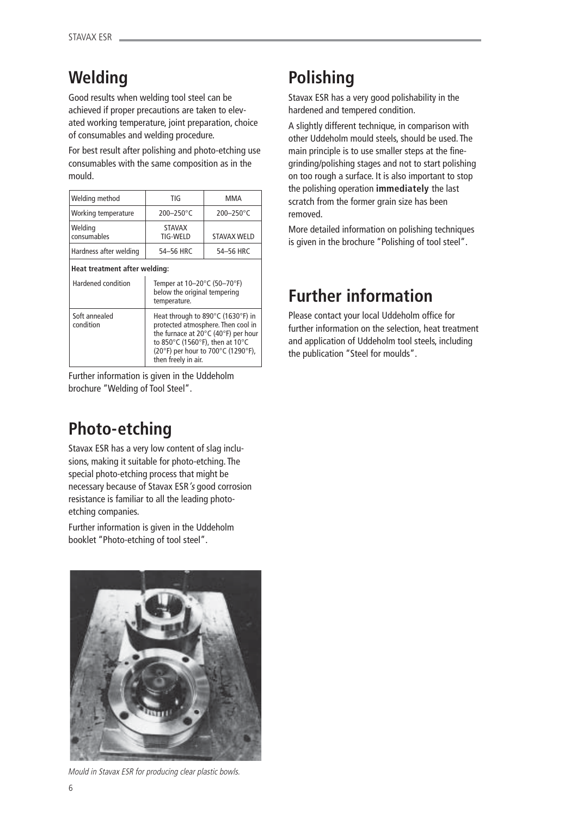# **Welding**

Good results when welding tool steel can be achieved if proper precautions are taken to elevated working temperature, joint preparation, choice of consumables and welding procedure.

For best result after polishing and photo-etching use consumables with the same composition as in the mould.

| Welding method                | TIG                              | MMA                   |
|-------------------------------|----------------------------------|-----------------------|
| Working temperature           | $200 - 250$ °C                   | $200 - 250^{\circ}$ C |
| Welding<br>consumables        | <b>STAVAX</b><br><b>TIG-WELD</b> | <b>STAVAX WELD</b>    |
| Hardness after welding        | 54-56 HRC                        | 54-56 HRC             |
| Heat treatment after welding: |                                  |                       |

| Hardened condition         | Temper at 10-20°C (50-70°F)<br>below the original tempering<br>temperature.                                                                                                                                    |
|----------------------------|----------------------------------------------------------------------------------------------------------------------------------------------------------------------------------------------------------------|
| Soft annealed<br>condition | Heat through to 890°C (1630°F) in<br>protected atmosphere. Then cool in<br>the furnace at 20°C (40°F) per hour<br>to 850°C (1560°F), then at 10°C<br>(20°F) per hour to 700°C (1290°F),<br>then freely in air. |

Further information is given in the Uddeholm brochure "Welding of Tool Steel".

## **Photo-etching**

Stavax ESR has a very low content of slag inclusions, making it suitable for photo-etching. The special photo-etching process that might be necessary because of Stavax ESR's good corrosion resistance is familiar to all the leading photoetching companies.

Further information is given in the Uddeholm booklet "Photo-etching of tool steel".



Mould in Stavax ESR for producing clear plastic bowls.

## **Polishing**

Stavax ESR has a very good polishability in the hardened and tempered condition.

A slightly different technique, in comparison with other Uddeholm mould steels, should be used. The main principle is to use smaller steps at the finegrinding/polishing stages and not to start polishing on too rough a surface. It is also important to stop the polishing operation **immediately** the last scratch from the former grain size has been removed.

More detailed information on polishing techniques is given in the brochure "Polishing of tool steel".

## **Further information**

Please contact your local Uddeholm office for further information on the selection, heat treatment and application of Uddeholm tool steels, including the publication "Steel for moulds".